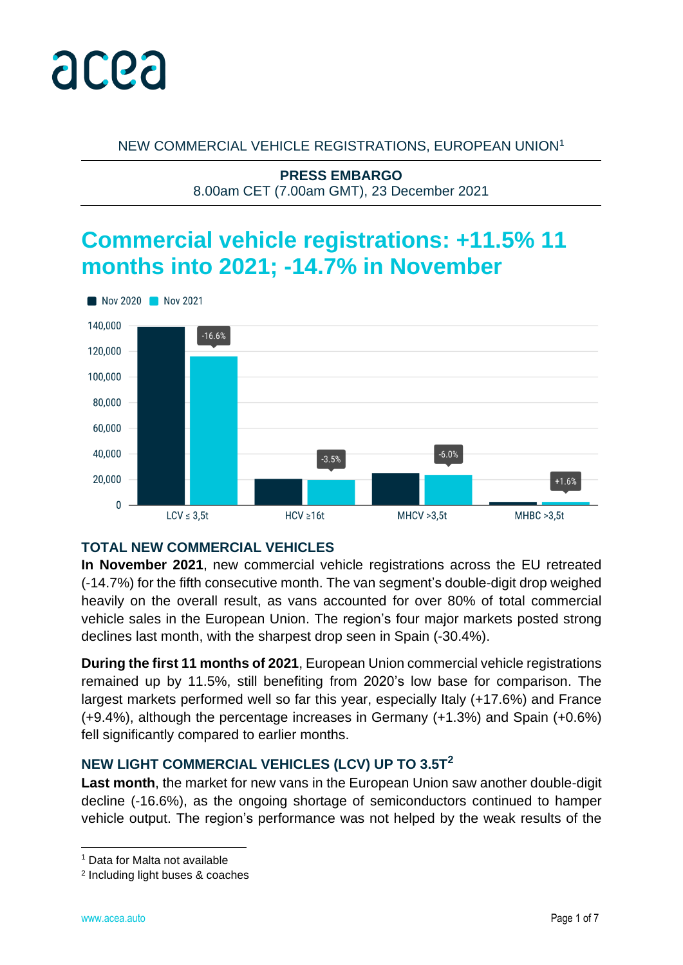

NEW COMMERCIAL VEHICLE REGISTRATIONS, EUROPEAN UNION<sup>1</sup>

**PRESS EMBARGO** 8.00am CET (7.00am GMT), 23 December 2021

# **Commercial vehicle registrations: +11.5% 11 months into 2021; -14.7% in November**



# **TOTAL NEW COMMERCIAL VEHICLES**

**In November 2021**, new commercial vehicle registrations across the EU retreated (-14.7%) for the fifth consecutive month. The van segment's double-digit drop weighed heavily on the overall result, as vans accounted for over 80% of total commercial vehicle sales in the European Union. The region's four major markets posted strong declines last month, with the sharpest drop seen in Spain (-30.4%).

**During the first 11 months of 2021**, European Union commercial vehicle registrations remained up by 11.5%, still benefiting from 2020's low base for comparison. The largest markets performed well so far this year, especially Italy (+17.6%) and France (+9.4%), although the percentage increases in Germany (+1.3%) and Spain (+0.6%) fell significantly compared to earlier months.

# **NEW LIGHT COMMERCIAL VEHICLES (LCV) UP TO 3.5T<sup>2</sup>**

**Last month**, the market for new vans in the European Union saw another double-digit decline (-16.6%), as the ongoing shortage of semiconductors continued to hamper vehicle output. The region's performance was not helped by the weak results of the

<sup>1</sup> Data for Malta not available

<sup>2</sup> Including light buses & coaches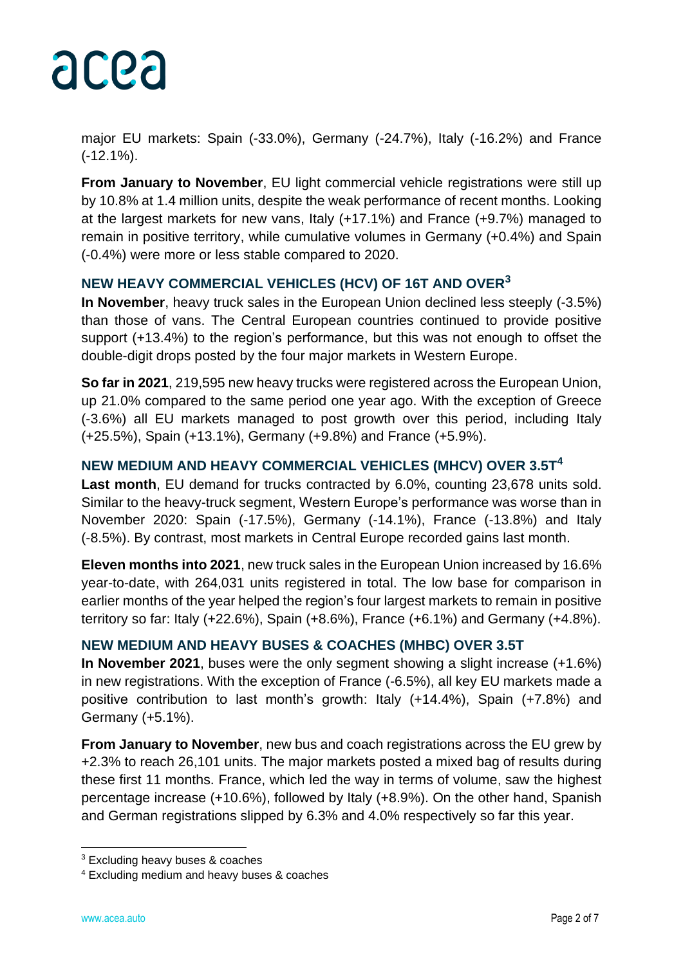

major EU markets: Spain (-33.0%), Germany (-24.7%), Italy (-16.2%) and France (-12.1%).

**From January to November, EU light commercial vehicle registrations were still up** by 10.8% at 1.4 million units, despite the weak performance of recent months. Looking at the largest markets for new vans, Italy (+17.1%) and France (+9.7%) managed to remain in positive territory, while cumulative volumes in Germany (+0.4%) and Spain (-0.4%) were more or less stable compared to 2020.

# **NEW HEAVY COMMERCIAL VEHICLES (HCV) OF 16T AND OVER<sup>3</sup>**

**In November**, heavy truck sales in the European Union declined less steeply (-3.5%) than those of vans. The Central European countries continued to provide positive support (+13.4%) to the region's performance, but this was not enough to offset the double-digit drops posted by the four major markets in Western Europe.

**So far in 2021**, 219,595 new heavy trucks were registered across the European Union, up 21.0% compared to the same period one year ago. With the exception of Greece (-3.6%) all EU markets managed to post growth over this period, including Italy (+25.5%), Spain (+13.1%), Germany (+9.8%) and France (+5.9%).

# **NEW MEDIUM AND HEAVY COMMERCIAL VEHICLES (MHCV) OVER 3.5T<sup>4</sup>**

**Last month**, EU demand for trucks contracted by 6.0%, counting 23,678 units sold. Similar to the heavy-truck segment, Western Europe's performance was worse than in November 2020: Spain (-17.5%), Germany (-14.1%), France (-13.8%) and Italy (-8.5%). By contrast, most markets in Central Europe recorded gains last month.

**Eleven months into 2021**, new truck sales in the European Union increased by 16.6% year-to-date, with 264,031 units registered in total. The low base for comparison in earlier months of the year helped the region's four largest markets to remain in positive territory so far: Italy (+22.6%), Spain (+8.6%), France (+6.1%) and Germany (+4.8%).

# **NEW MEDIUM AND HEAVY BUSES & COACHES (MHBC) OVER 3.5T**

**In November 2021**, buses were the only segment showing a slight increase (+1.6%) in new registrations. With the exception of France (-6.5%), all key EU markets made a positive contribution to last month's growth: Italy (+14.4%), Spain (+7.8%) and Germany (+5.1%).

**From January to November**, new bus and coach registrations across the EU grew by +2.3% to reach 26,101 units. The major markets posted a mixed bag of results during these first 11 months. France, which led the way in terms of volume, saw the highest percentage increase (+10.6%), followed by Italy (+8.9%). On the other hand, Spanish and German registrations slipped by 6.3% and 4.0% respectively so far this year.

<sup>3</sup> Excluding heavy buses & coaches

<sup>4</sup> Excluding medium and heavy buses & coaches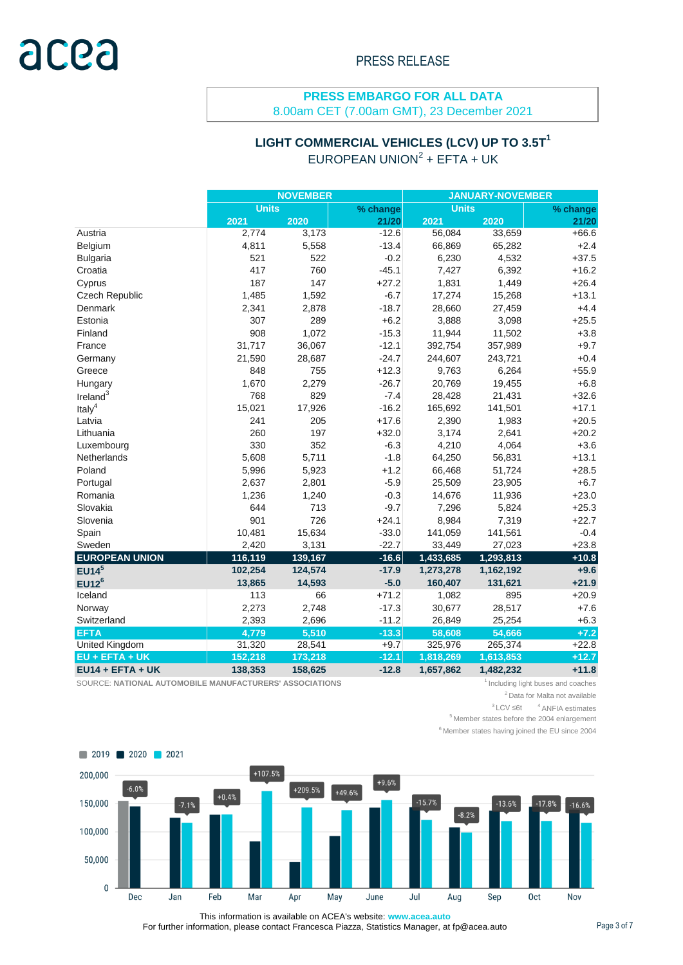# **PRESS EMBARGO FOR ALL DATA**

8.00am CET (7.00am GMT), 23 December 2021

# **LIGHT COMMERCIAL VEHICLES (LCV) UP TO 3.5T<sup>1</sup>**

EUROPEAN UNION $2 + E$ FTA + UK

|                       | <b>NOVEMBER</b> |         |          | <b>JANUARY-NOVEMBER</b> |           |          |  |
|-----------------------|-----------------|---------|----------|-------------------------|-----------|----------|--|
|                       | <b>Units</b>    |         | % change | <b>Units</b>            |           | % change |  |
|                       | 2021            | 2020    | 21/20    | 2021                    | 2020      | 21/20    |  |
| Austria               | 2,774           | 3,173   | $-12.6$  | 56,084                  | 33,659    | $+66.6$  |  |
| Belgium               | 4,811           | 5,558   | $-13.4$  | 66,869                  | 65,282    | $+2.4$   |  |
| <b>Bulgaria</b>       | 521             | 522     | $-0.2$   | 6,230                   | 4,532     | $+37.5$  |  |
| Croatia               | 417             | 760     | $-45.1$  | 7,427                   | 6,392     | $+16.2$  |  |
| Cyprus                | 187             | 147     | $+27.2$  | 1,831                   | 1,449     | $+26.4$  |  |
| Czech Republic        | 1,485           | 1,592   | $-6.7$   | 17,274                  | 15,268    | $+13.1$  |  |
| Denmark               | 2,341           | 2,878   | $-18.7$  | 28,660                  | 27,459    | $+4.4$   |  |
| Estonia               | 307             | 289     | $+6.2$   | 3,888                   | 3,098     | $+25.5$  |  |
| Finland               | 908             | 1,072   | $-15.3$  | 11,944                  | 11,502    | $+3.8$   |  |
| France                | 31,717          | 36,067  | $-12.1$  | 392,754                 | 357,989   | $+9.7$   |  |
| Germany               | 21,590          | 28,687  | $-24.7$  | 244,607                 | 243,721   | $+0.4$   |  |
| Greece                | 848             | 755     | $+12.3$  | 9,763                   | 6,264     | $+55.9$  |  |
| Hungary               | 1,670           | 2,279   | $-26.7$  | 20,769                  | 19,455    | $+6.8$   |  |
| Ireland <sup>3</sup>  | 768             | 829     | $-7.4$   | 28,428                  | 21,431    | $+32.6$  |  |
| Italy <sup>4</sup>    | 15,021          | 17,926  | $-16.2$  | 165,692                 | 141,501   | $+17.1$  |  |
| Latvia                | 241             | 205     | $+17.6$  | 2,390                   | 1,983     | $+20.5$  |  |
| Lithuania             | 260             | 197     | $+32.0$  | 3,174                   | 2,641     | $+20.2$  |  |
| Luxembourg            | 330             | 352     | $-6.3$   | 4,210                   | 4,064     | $+3.6$   |  |
| Netherlands           | 5,608           | 5,711   | $-1.8$   | 64,250                  | 56,831    | $+13.1$  |  |
| Poland                | 5,996           | 5,923   | $+1.2$   | 66,468                  | 51,724    | $+28.5$  |  |
| Portugal              | 2,637           | 2,801   | $-5.9$   | 25,509                  | 23,905    | $+6.7$   |  |
| Romania               | 1,236           | 1,240   | $-0.3$   | 14,676                  | 11,936    | $+23.0$  |  |
| Slovakia              | 644             | 713     | $-9.7$   | 7,296                   | 5,824     | $+25.3$  |  |
| Slovenia              | 901             | 726     | $+24.1$  | 8,984                   | 7,319     | $+22.7$  |  |
| Spain                 | 10,481          | 15,634  | $-33.0$  | 141,059                 | 141,561   | $-0.4$   |  |
| Sweden                | 2,420           | 3,131   | $-22.7$  | 33,449                  | 27,023    | $+23.8$  |  |
| <b>EUROPEAN UNION</b> | 116,119         | 139,167 | $-16.6$  | 1,433,685               | 1,293,813 | $+10.8$  |  |
| EUI4 <sup>5</sup>     | 102,254         | 124,574 | $-17.9$  | 1,273,278               | 1,162,192 | $+9.6$   |  |
| EUI2 <sup>6</sup>     | 13,865          | 14,593  | $-5.0$   | 160,407                 | 131,621   | $+21.9$  |  |
| Iceland               | 113             | 66      | $+71.2$  | 1,082                   | 895       | $+20.9$  |  |
| Norway                | 2,273           | 2,748   | $-17.3$  | 30,677                  | 28,517    | $+7.6$   |  |
| Switzerland           | 2,393           | 2,696   | $-11.2$  | 26,849                  | 25,254    | $+6.3$   |  |
| <b>EFTA</b>           | 4,779           | 5,510   | $-13.3$  | 58,608                  | 54,666    | $+7.2$   |  |
| United Kingdom        | 31,320          | 28,541  | $+9.7$   | 325,976                 | 265,374   | $+22.8$  |  |
| EU + EFTA + UK        | 152,218         | 173,218 | $-12.1$  | 1,818,269               | 1,613,853 | $+12.7$  |  |
| $EU14 + EFTA + UK$    | 138,353         | 158,625 | $-12.8$  | 1,657,862               | 1,482,232 | $+11.8$  |  |

SOURCE: NATIONAL AUTOMOBILE MANUFACTURERS' ASSOCIATIONS **1** Including light buses and coaches

<sup>2</sup> Data for Malta not available

 $3$  LCV ≤6t  $4$  ANFIA estimates  $<sup>5</sup>$  Member states before the 2004 enlargement</sup>

 $6$  Member states having joined the EU since 2004



This information is available on ACEA's website: **www.acea.auto**  For further information, please contact Francesca Piazza, Statistics Manager, at fp@acea.auto Page 3 of 7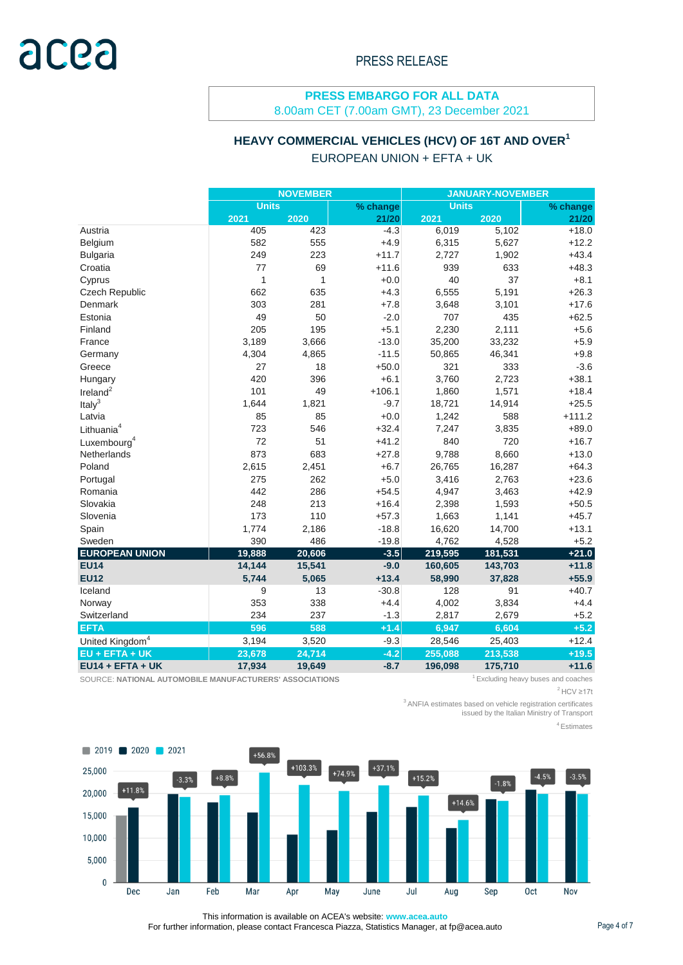# **PRESS EMBARGO FOR ALL DATA**

8.00am CET (7.00am GMT), 23 December 2021

# **HEAVY COMMERCIAL VEHICLES (HCV) OF 16T AND OVER<sup>1</sup>**

EUROPEAN UNION + EFTA + UK

|                             | <b>NOVEMBER</b> |        |          | <b>JANUARY-NOVEMBER</b> |         |          |  |
|-----------------------------|-----------------|--------|----------|-------------------------|---------|----------|--|
|                             | <b>Units</b>    |        | % change | <b>Units</b>            |         | % change |  |
|                             | 2021            | 2020   | 21/20    | 2021                    | 2020    | 21/20    |  |
| Austria                     | 405             | 423    | $-4.3$   | 6,019                   | 5,102   | $+18.0$  |  |
| Belgium                     | 582             | 555    | $+4.9$   | 6,315                   | 5,627   | $+12.2$  |  |
| <b>Bulgaria</b>             | 249             | 223    | $+11.7$  | 2,727                   | 1,902   | $+43.4$  |  |
| Croatia                     | 77              | 69     | $+11.6$  | 939                     | 633     | $+48.3$  |  |
| Cyprus                      | 1               | 1      | $+0.0$   | 40                      | 37      | $+8.1$   |  |
| Czech Republic              | 662             | 635    | $+4.3$   | 6,555                   | 5,191   | $+26.3$  |  |
| Denmark                     | 303             | 281    | $+7.8$   | 3,648                   | 3,101   | $+17.6$  |  |
| Estonia                     | 49              | 50     | $-2.0$   | 707                     | 435     | $+62.5$  |  |
| Finland                     | 205             | 195    | $+5.1$   | 2,230                   | 2,111   | $+5.6$   |  |
| France                      | 3,189           | 3,666  | $-13.0$  | 35,200                  | 33,232  | $+5.9$   |  |
| Germany                     | 4,304           | 4,865  | $-11.5$  | 50,865                  | 46,341  | $+9.8$   |  |
| Greece                      | 27              | 18     | $+50.0$  | 321                     | 333     | $-3.6$   |  |
| Hungary                     | 420             | 396    | $+6.1$   | 3,760                   | 2,723   | $+38.1$  |  |
| Ireland $2$                 | 101             | 49     | $+106.1$ | 1,860                   | 1,571   | $+18.4$  |  |
| Italy $3$                   | 1,644           | 1,821  | $-9.7$   | 18,721                  | 14,914  | $+25.5$  |  |
| Latvia                      | 85              | 85     | $+0.0$   | 1,242                   | 588     | $+111.2$ |  |
| Lithuania <sup>4</sup>      | 723             | 546    | $+32.4$  | 7,247                   | 3,835   | $+89.0$  |  |
| Luxembourg <sup>4</sup>     | 72              | 51     | $+41.2$  | 840                     | 720     | $+16.7$  |  |
| Netherlands                 | 873             | 683    | $+27.8$  | 9,788                   | 8,660   | $+13.0$  |  |
| Poland                      | 2,615           | 2,451  | $+6.7$   | 26,765                  | 16,287  | $+64.3$  |  |
| Portugal                    | 275             | 262    | $+5.0$   | 3,416                   | 2,763   | $+23.6$  |  |
| Romania                     | 442             | 286    | $+54.5$  | 4,947                   | 3,463   | $+42.9$  |  |
| Slovakia                    | 248             | 213    | $+16.4$  | 2,398                   | 1,593   | $+50.5$  |  |
| Slovenia                    | 173             | 110    | $+57.3$  | 1,663                   | 1,141   | $+45.7$  |  |
| Spain                       | 1,774           | 2,186  | $-18.8$  | 16,620                  | 14,700  | $+13.1$  |  |
| Sweden                      | 390             | 486    | $-19.8$  | 4,762                   | 4,528   | $+5.2$   |  |
| <b>EUROPEAN UNION</b>       | 19,888          | 20,606 | $-3.5$   | 219,595                 | 181,531 | $+21.0$  |  |
| <b>EU14</b>                 | 14,144          | 15,541 | $-9.0$   | 160,605                 | 143,703 | $+11.8$  |  |
| <b>EU12</b>                 | 5,744           | 5,065  | $+13.4$  | 58,990                  | 37,828  | $+55.9$  |  |
| Iceland                     | 9               | 13     | $-30.8$  | 128                     | 91      | $+40.7$  |  |
| Norway                      | 353             | 338    | $+4.4$   | 4,002                   | 3,834   | $+4.4$   |  |
| Switzerland                 | 234             | 237    | $-1.3$   | 2,817                   | 2,679   | $+5.2$   |  |
| <b>EFTA</b>                 | 596             | 588    | $+1.4$   | 6,947                   | 6,604   | $+5.2$   |  |
| United Kingdom <sup>4</sup> | 3,194           | 3,520  | $-9.3$   | 28,546                  | 25,403  | $+12.4$  |  |
| EU + EFTA + UK              | 23,678          | 24,714 | $-4.2$   | 255,088                 | 213,538 | $+19.5$  |  |
| $EU14 + EFTA + UK$          | 17,934          | 19,649 | $-8.7$   | 196,098                 | 175,710 | $+11.6$  |  |

SOURCE: NATIONAL AUTOMOBILE MANUFACTURERS' ASSOCIATIONS **1** Excluding heavy buses and coaches

 $2$  HCV ≥17t

<sup>3</sup>ANFIA estimates based on vehicle registration certificates

issued by the Italian Ministry of Transport

<sup>4</sup> Estimates



This information is available on ACEA's website: **www.acea.auto**  For further information, please contact Francesca Piazza, Statistics Manager, at fp@acea.auto Page 4 of 7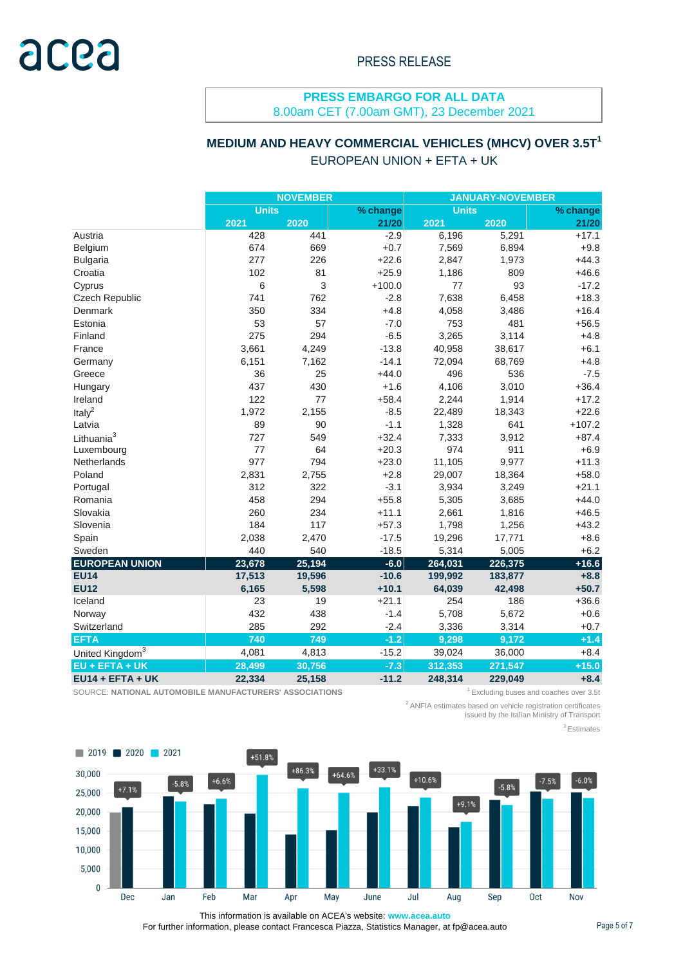### **PRESS EMBARGO FOR ALL DATA** 8.00am CET (7.00am GMT), 23 December 2021

### **MEDIUM AND HEAVY COMMERCIAL VEHICLES (MHCV) OVER 3.5T<sup>1</sup>** EUROPEAN UNION + EFTA + UK

|                             | <b>NOVEMBER</b> |        |          | <b>JANUARY-NOVEMBER</b> |         |          |  |
|-----------------------------|-----------------|--------|----------|-------------------------|---------|----------|--|
|                             | <b>Units</b>    |        | % change | <b>Units</b>            |         | % change |  |
|                             | 2021            | 2020   | 21/20    | 2021                    | 2020    | 21/20    |  |
| Austria                     | 428             | 441    | $-2.9$   | 6,196                   | 5,291   | $+17.1$  |  |
| Belgium                     | 674             | 669    | $+0.7$   | 7,569                   | 6,894   | $+9.8$   |  |
| <b>Bulgaria</b>             | 277             | 226    | $+22.6$  | 2,847                   | 1,973   | $+44.3$  |  |
| Croatia                     | 102             | 81     | $+25.9$  | 1,186                   | 809     | $+46.6$  |  |
| Cyprus                      | 6               | 3      | $+100.0$ | 77                      | 93      | $-17.2$  |  |
| Czech Republic              | 741             | 762    | $-2.8$   | 7,638                   | 6,458   | $+18.3$  |  |
| Denmark                     | 350             | 334    | $+4.8$   | 4,058                   | 3,486   | $+16.4$  |  |
| Estonia                     | 53              | 57     | $-7.0$   | 753                     | 481     | $+56.5$  |  |
| Finland                     | 275             | 294    | $-6.5$   | 3,265                   | 3,114   | $+4.8$   |  |
| France                      | 3,661           | 4,249  | $-13.8$  | 40,958                  | 38,617  | $+6.1$   |  |
| Germany                     | 6,151           | 7,162  | $-14.1$  | 72,094                  | 68,769  | $+4.8$   |  |
| Greece                      | 36              | 25     | $+44.0$  | 496                     | 536     | $-7.5$   |  |
| Hungary                     | 437             | 430    | $+1.6$   | 4,106                   | 3,010   | $+36.4$  |  |
| Ireland                     | 122             | 77     | $+58.4$  | 2,244                   | 1,914   | $+17.2$  |  |
| Ital $v^2$                  | 1,972           | 2,155  | $-8.5$   | 22,489                  | 18,343  | $+22.6$  |  |
| Latvia                      | 89              | 90     | $-1.1$   | 1,328                   | 641     | $+107.2$ |  |
| Lithuania <sup>3</sup>      | 727             | 549    | $+32.4$  | 7,333                   | 3,912   | $+87.4$  |  |
| Luxembourg                  | 77              | 64     | $+20.3$  | 974                     | 911     | $+6.9$   |  |
| Netherlands                 | 977             | 794    | $+23.0$  | 11,105                  | 9,977   | $+11.3$  |  |
| Poland                      | 2,831           | 2,755  | $+2.8$   | 29,007                  | 18,364  | $+58.0$  |  |
| Portugal                    | 312             | 322    | $-3.1$   | 3,934                   | 3,249   | $+21.1$  |  |
| Romania                     | 458             | 294    | $+55.8$  | 5,305                   | 3,685   | $+44.0$  |  |
| Slovakia                    | 260             | 234    | $+11.1$  | 2,661                   | 1,816   | $+46.5$  |  |
| Slovenia                    | 184             | 117    | $+57.3$  | 1,798                   | 1,256   | $+43.2$  |  |
| Spain                       | 2,038           | 2,470  | $-17.5$  | 19,296                  | 17,771  | $+8.6$   |  |
| Sweden                      | 440             | 540    | $-18.5$  | 5,314                   | 5,005   | $+6.2$   |  |
| <b>EUROPEAN UNION</b>       | 23,678          | 25,194 | $-6.0$   | 264,031                 | 226,375 | $+16.6$  |  |
| <b>EU14</b>                 | 17,513          | 19,596 | $-10.6$  | 199,992                 | 183,877 | $+8.8$   |  |
| <b>EU12</b>                 | 6,165           | 5,598  | $+10.1$  | 64,039                  | 42,498  | $+50.7$  |  |
| Iceland                     | 23              | 19     | $+21.1$  | 254                     | 186     | $+36.6$  |  |
| Norway                      | 432             | 438    | $-1.4$   | 5,708                   | 5,672   | $+0.6$   |  |
| Switzerland                 | 285             | 292    | $-2.4$   | 3,336                   | 3,314   | $+0.7$   |  |
| <b>EFTA</b>                 | 740             | 749    | $-1.2$   | 9,298                   | 9,172   | $+1.4$   |  |
| United Kingdom <sup>3</sup> | 4,081           | 4,813  | $-15.2$  | 39,024                  | 36,000  | $+8.4$   |  |
| EU + EFTA + UK              | 28,499          | 30,756 | $-7.3$   | 312,353                 | 271,547 | $+15.0$  |  |
| $EU14 + EFTA + UK$          | 22,334          | 25,158 | $-11.2$  | 248,314                 | 229,049 | $+8.4$   |  |

SOURCE: NATIONAL AUTOMOBILE MANUFACTURERS' ASSOCIATIONS **1** Excluding buses and coaches over 3.5t

<sup>2</sup> ANFIA estimates based on vehicle registration certificates issued by the Italian Ministry of Transport

<sup>3</sup> Estimates



This information is available on ACEA's website: **www.acea.auto**  For further information, please contact Francesca Piazza, Statistics Manager, at fp@acea.auto Page 5 of 7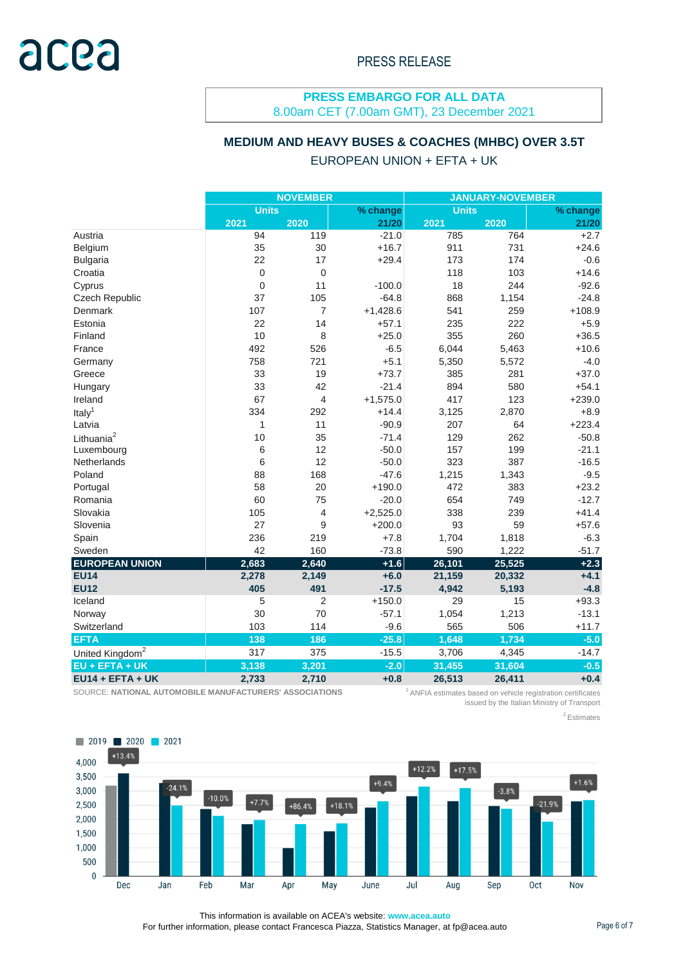#### **PRESS EMBARGO FOR ALL DATA** 8.00am CET (7.00am GMT), 23 December 2021

### **MEDIUM AND HEAVY BUSES & COACHES (MHBC) OVER 3.5T**

### EUROPEAN UNION + EFTA + UK

|                             | <b>NOVEMBER</b>          |                |              | <b>JANUARY-NOVEMBER</b> |          |          |
|-----------------------------|--------------------------|----------------|--------------|-------------------------|----------|----------|
|                             | <b>Units</b><br>% change |                | <b>Units</b> |                         | % change |          |
|                             | 2021                     | 2020           | 21/20        | 2021                    | 2020     | 21/20    |
| Austria                     | 94                       | 119            | $-21.0$      | 785                     | 764      | $+2.7$   |
| Belgium                     | 35                       | 30             | $+16.7$      | 911                     | 731      | $+24.6$  |
| <b>Bulgaria</b>             | 22                       | 17             | $+29.4$      | 173                     | 174      | $-0.6$   |
| Croatia                     | $\mathbf 0$              | $\mathbf 0$    |              | 118                     | 103      | $+14.6$  |
| Cyprus                      | $\mathbf 0$              | 11             | $-100.0$     | 18                      | 244      | $-92.6$  |
| Czech Republic              | 37                       | 105            | $-64.8$      | 868                     | 1,154    | $-24.8$  |
| Denmark                     | 107                      | 7              | $+1,428.6$   | 541                     | 259      | $+108.9$ |
| Estonia                     | 22                       | 14             | $+57.1$      | 235                     | 222      | $+5.9$   |
| Finland                     | 10                       | 8              | $+25.0$      | 355                     | 260      | $+36.5$  |
| France                      | 492                      | 526            | $-6.5$       | 6,044                   | 5,463    | $+10.6$  |
| Germany                     | 758                      | 721            | $+5.1$       | 5,350                   | 5,572    | $-4.0$   |
| Greece                      | 33                       | 19             | $+73.7$      | 385                     | 281      | $+37.0$  |
| Hungary                     | 33                       | 42             | $-21.4$      | 894                     | 580      | $+54.1$  |
| Ireland                     | 67                       | 4              | $+1,575.0$   | 417                     | 123      | $+239.0$ |
| Italy <sup>1</sup>          | 334                      | 292            | $+14.4$      | 3,125                   | 2,870    | $+8.9$   |
| Latvia                      | 1                        | 11             | $-90.9$      | 207                     | 64       | $+223.4$ |
| Lithuania <sup>2</sup>      | 10                       | 35             | $-71.4$      | 129                     | 262      | $-50.8$  |
| Luxembourg                  | $\,6$                    | 12             | $-50.0$      | 157                     | 199      | $-21.1$  |
| Netherlands                 | 6                        | 12             | $-50.0$      | 323                     | 387      | $-16.5$  |
| Poland                      | 88                       | 168            | $-47.6$      | 1,215                   | 1,343    | $-9.5$   |
| Portugal                    | 58                       | 20             | $+190.0$     | 472                     | 383      | $+23.2$  |
| Romania                     | 60                       | 75             | $-20.0$      | 654                     | 749      | $-12.7$  |
| Slovakia                    | 105                      | 4              | $+2,525.0$   | 338                     | 239      | $+41.4$  |
| Slovenia                    | 27                       | 9              | $+200.0$     | 93                      | 59       | $+57.6$  |
| Spain                       | 236                      | 219            | $+7.8$       | 1,704                   | 1,818    | $-6.3$   |
| Sweden                      | 42                       | 160            | $-73.8$      | 590                     | 1,222    | $-51.7$  |
| <b>EUROPEAN UNION</b>       | 2,683                    | 2,640          | $+1.6$       | 26,101                  | 25,525   | $+2.3$   |
| <b>EU14</b>                 | 2,278                    | 2,149          | $+6.0$       | 21,159                  | 20,332   | $+4.1$   |
| <b>EU12</b>                 | 405                      | 491            | $-17.5$      | 4,942                   | 5,193    | $-4.8$   |
| Iceland                     | 5                        | $\overline{c}$ | $+150.0$     | 29                      | 15       | $+93.3$  |
| Norway                      | 30                       | 70             | $-57.1$      | 1,054                   | 1,213    | $-13.1$  |
| Switzerland                 | 103                      | 114            | $-9.6$       | 565                     | 506      | $+11.7$  |
| <b>EFTA</b>                 | 138                      | 186            | $-25.8$      | 1,648                   | 1,734    | $-5.0$   |
| United Kingdom <sup>2</sup> | 317                      | 375            | $-15.5$      | 3,706                   | 4,345    | $-14.7$  |
| EU + EFTA + UK              | 3,138                    | 3,201          | $-2.0$       | 31,455                  | 31,604   | $-0.5$   |
| EU14 + EFTA + UK            | 2,733                    | 2,710          | $+0.8$       | 26,513                  | 26,411   | $+0.4$   |

SOURCE: **NATIONAL AUTOMOBILE MANUFACTURERS' ASSOCIATIONS** 

<sup>1</sup> ANFIA estimates based on vehicle registration certificates issued by the Italian Ministry of Transport

<sup>2</sup> Estimates



This information is available on ACEA's website: **www.acea.auto**  For further information, please contact Francesca Piazza, Statistics Manager, at fp@acea.auto Page 6 of 7